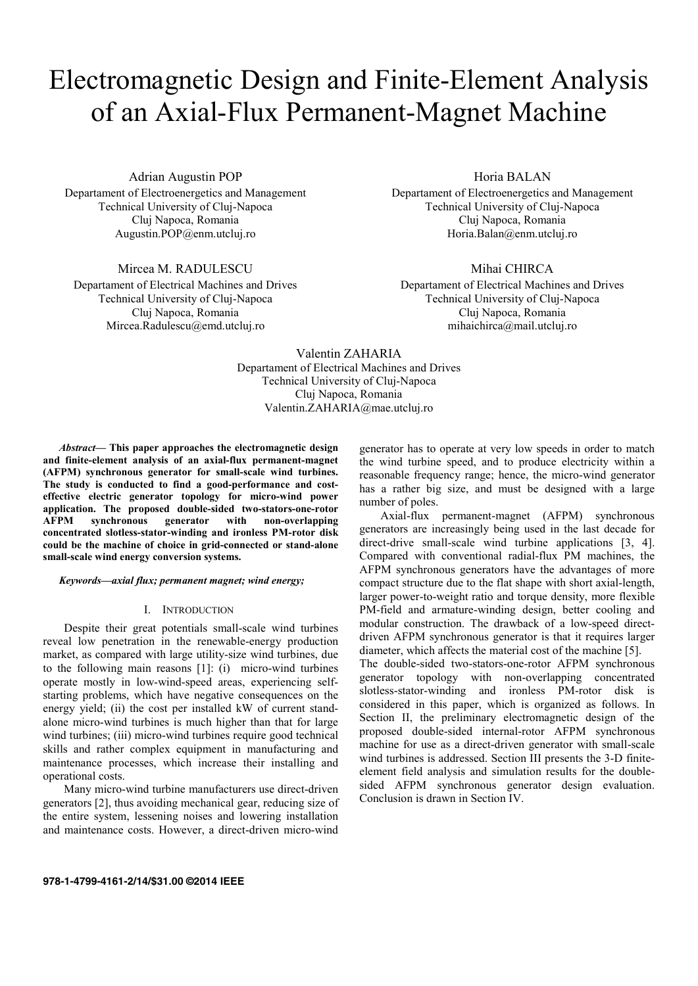# Electromagnetic Design and Finite-Element Analysis of an Axial-Flux Permanent-Magnet Machine

Adrian Augustin POP

Departament of Electroenergetics and Management Technical University of Cluj-Napoca Cluj Napoca, Romania Augustin.POP@enm.utcluj.ro

Mircea M. RADULESCU

Departament of Electrical Machines and Drives Technical University of Cluj-Napoca Cluj Napoca, Romania Mircea.Radulescu@emd.utcluj.ro

Horia BALAN

Departament of Electroenergetics and Management Technical University of Cluj-Napoca Cluj Napoca, Romania Horia.Balan@enm.utcluj.ro

Mihai CHIRCA

Departament of Electrical Machines and Drives Technical University of Cluj-Napoca Cluj Napoca, Romania mihaichirca@mail.utcluj.ro

Valentin ZAHARIA Departament of Electrical Machines and Drives Technical University of Cluj-Napoca Cluj Napoca, Romania Valentin.ZAHARIA@mae.utcluj.ro

*Abstract***— This paper approaches the electromagnetic design and finite-element analysis of an axial-flux permanent-magnet (AFPM) synchronous generator for small-scale wind turbines. The study is conducted to find a good-performance and costeffective electric generator topology for micro-wind power application. The proposed double-sided two-stators-one-rotor AFPM synchronous generator with non-overlapping concentrated slotless-stator-winding and ironless PM-rotor disk could be the machine of choice in grid-connected or stand-alone small-scale wind energy conversion systems.** 

## *Keywords—axial flux; permanent magnet; wind energy;*

#### I. INTRODUCTION

Despite their great potentials small-scale wind turbines reveal low penetration in the renewable-energy production market, as compared with large utility-size wind turbines, due to the following main reasons [1]: (i) micro-wind turbines operate mostly in low-wind-speed areas, experiencing selfstarting problems, which have negative consequences on the energy yield; (ii) the cost per installed kW of current standalone micro-wind turbines is much higher than that for large wind turbines; (iii) micro-wind turbines require good technical skills and rather complex equipment in manufacturing and maintenance processes, which increase their installing and operational costs.

Many micro-wind turbine manufacturers use direct-driven generators [2], thus avoiding mechanical gear, reducing size of the entire system, lessening noises and lowering installation and maintenance costs. However, a direct-driven micro-wind

generator has to operate at very low speeds in order to match the wind turbine speed, and to produce electricity within a reasonable frequency range; hence, the micro-wind generator has a rather big size, and must be designed with a large number of poles.

Axial-flux permanent-magnet (AFPM) synchronous generators are increasingly being used in the last decade for direct-drive small-scale wind turbine applications [3, 4]. Compared with conventional radial-flux PM machines, the AFPM synchronous generators have the advantages of more compact structure due to the flat shape with short axial-length, larger power-to-weight ratio and torque density, more flexible PM-field and armature-winding design, better cooling and modular construction. The drawback of a low-speed directdriven AFPM synchronous generator is that it requires larger diameter, which affects the material cost of the machine [5]. The double-sided two-stators-one-rotor AFPM synchronous generator topology with non-overlapping concentrated slotless-stator-winding and ironless PM-rotor disk is considered in this paper, which is organized as follows. In

Section II, the preliminary electromagnetic design of the proposed double-sided internal-rotor AFPM synchronous machine for use as a direct-driven generator with small-scale wind turbines is addressed. Section III presents the 3-D finiteelement field analysis and simulation results for the doublesided AFPM synchronous generator design evaluation. Conclusion is drawn in Section IV.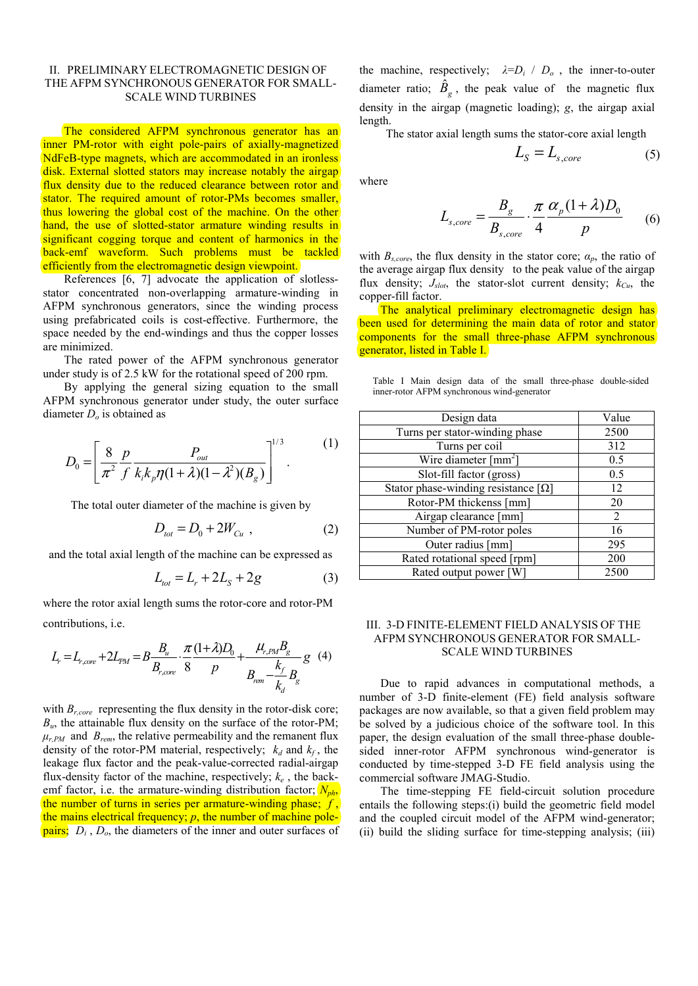# II. PRELIMINARY ELECTROMAGNETIC DESIGN OF THE AFPM SYNCHRONOUS GENERATOR FOR SMALL-SCALE WIND TURBINES

The considered AFPM synchronous generator has an inner PM-rotor with eight pole-pairs of axially-magnetized NdFeB-type magnets, which are accommodated in an ironless disk. External slotted stators may increase notably the airgap flux density due to the reduced clearance between rotor and stator. The required amount of rotor-PMs becomes smaller, thus lowering the global cost of the machine. On the other hand, the use of slotted-stator armature winding results in significant cogging torque and content of harmonics in the back-emf waveform. Such problems must be tackled efficiently from the electromagnetic design viewpoint.

References [6, 7] advocate the application of slotlessstator concentrated non-overlapping armature-winding in AFPM synchronous generators, since the winding process using prefabricated coils is cost-effective. Furthermore, the space needed by the end-windings and thus the copper losses are minimized.

The rated power of the AFPM synchronous generator under study is of 2.5 kW for the rotational speed of 200 rpm.

By applying the general sizing equation to the small AFPM synchronous generator under study, the outer surface diameter *Do* is obtained as

$$
D_0 = \left[ \frac{8}{\pi^2} \frac{p}{f} \frac{P_{out}}{k_i k_p \eta (1 + \lambda)(1 - \lambda^2)(B_g)} \right]^{1/3}.
$$
 (1)

The total outer diameter of the machine is given by

$$
D_{\text{tot}} = D_0 + 2W_{\text{Cu}} \tag{2}
$$

and the total axial length of the machine can be expressed as

$$
L_{tot} = L_r + 2L_s + 2g \tag{3}
$$

where the rotor axial length sums the rotor-core and rotor-PM contributions, i.e.

$$
L_{r} = L_{r,core} + 2L_{PM} = B \frac{B_{u}}{B_{r,core}} \cdot \frac{\pi (1+\lambda)D_{0}}{8} + \frac{\mu_{r,PM}B_{g}}{B_{rem} - \frac{k_{f}}{k_{d}}B_{g}} g \quad (4)
$$

with  $B_{r,core}$  representing the flux density in the rotor-disk core; *Bu*, the attainable flux density on the surface of the rotor-PM;  $\mu$ <sub>r,PM</sub> and  $B$ <sub>rem</sub>, the relative permeability and the remanent flux density of the rotor-PM material, respectively;  $k_d$  and  $k_f$ , the leakage flux factor and the peak-value-corrected radial-airgap flux-density factor of the machine, respectively;  $k_e$ , the backemf factor, i.e. the armature-winding distribution factor;  $N_{ph}$ , the number of turns in series per armature-winding phase; *f* , the mains electrical frequency; *p*, the number of machine polepairs; *Di* , *Do*, the diameters of the inner and outer surfaces of

the machine, respectively;  $\lambda = D_i / D_o$ , the inner-to-outer diameter ratio;  $\hat{B}_g$ , the peak value of the magnetic flux density in the airgap (magnetic loading); *g*, the airgap axial length.

The stator axial length sums the stator-core axial length

$$
L_{S} = L_{s,core} \tag{5}
$$

where

$$
L_{s,core} = \frac{B_g}{B_{s,core}} \cdot \frac{\pi}{4} \frac{\alpha_p (1+\lambda) D_0}{p}
$$
 (6)

with  $B_{s,core}$ , the flux density in the stator core;  $\alpha_p$ , the ratio of the average airgap flux density to the peak value of the airgap flux density;  $J_{slot}$ , the stator-slot current density;  $k_{Cu}$ , the copper-fill factor.

The analytical preliminary electromagnetic design has been used for determining the main data of rotor and stator components for the small three-phase AFPM synchronous generator, listed in Table I.

Table I Main design data of the small three-phase double-sided inner-rotor AFPM synchronous wind-generator

| Design data                                     | Value |
|-------------------------------------------------|-------|
| Turns per stator-winding phase                  | 2500  |
| Turns per coil                                  | 312   |
| Wire diameter $\lceil$ mm <sup>2</sup> $\rceil$ | 0.5   |
| Slot-fill factor (gross)                        | 0.5   |
| Stator phase-winding resistance $[\Omega]$      | 12    |
| Rotor-PM thickenss [mm]                         | 20    |
| Airgap clearance [mm]                           | 2     |
| Number of PM-rotor poles                        | 16    |
| Outer radius [mm]                               | 295   |
| Rated rotational speed [rpm]                    | 200   |
| Rated output power [W]                          | 2500  |

# III. 3-D FINITE-ELEMENT FIELD ANALYSIS OF THE AFPM SYNCHRONOUS GENERATOR FOR SMALL-SCALE WIND TURBINES

Due to rapid advances in computational methods, a number of 3-D finite-element (FE) field analysis software packages are now available, so that a given field problem may be solved by a judicious choice of the software tool. In this paper, the design evaluation of the small three-phase doublesided inner-rotor AFPM synchronous wind-generator is conducted by time-stepped 3-D FE field analysis using the commercial software JMAG-Studio.

The time-stepping FE field-circuit solution procedure entails the following steps:(i) build the geometric field model and the coupled circuit model of the AFPM wind-generator; (ii) build the sliding surface for time-stepping analysis; (iii)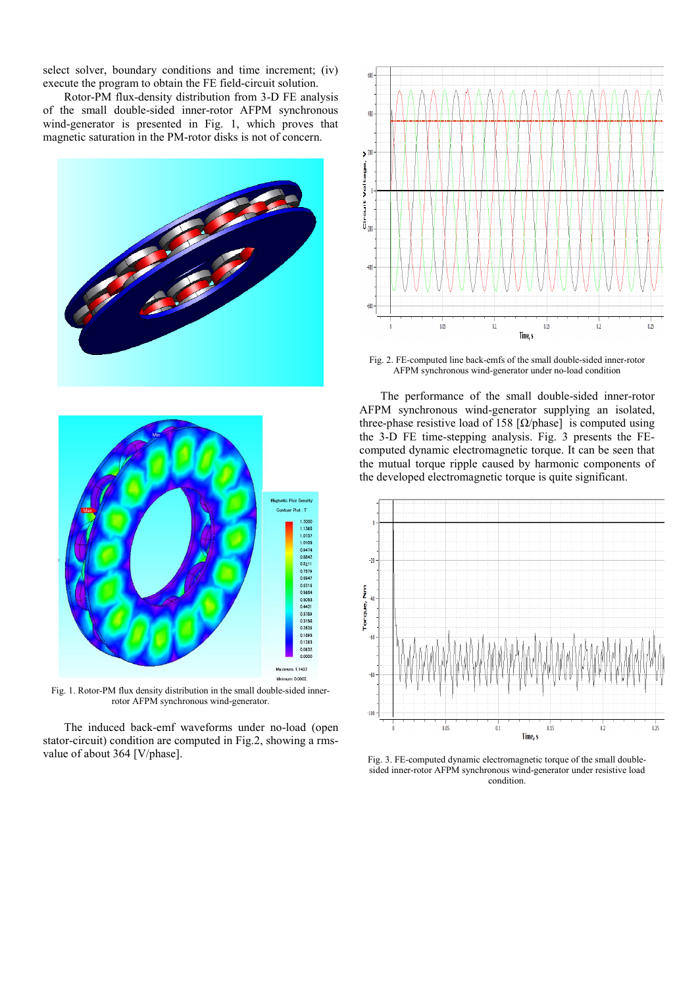select solver, boundary conditions and time increment; (iv) execute the program to obtain the FE field-circuit solution.

Rotor-PM flux-density distribution from 3-D FE analysis of the small double-sided inner-rotor AFPM synchronous wind-generator is presented in Fig. 1, which proves that magnetic saturation in the PM-rotor disks is not of concern.



Fig. 1. Rotor-PM flux density distribution in the small double-sided innerrotor AFPM synchronous wind-generator.

Minimum 0.0002

The induced back-emf waveforms under no-load (open stator-circuit) condition are computed in Fig.2, showing a rmsvalue of about 364 [V/phase].



Fig. 2. FE-computed line back-emfs of the small double-sided inner-rotor AFPM synchronous wind-generator under no-load condition

The performance of the small double-sided inner-rotor AFPM synchronous wind-generator supplying an isolated, three-phase resistive load of 158  $\lceil \Omega / \text{phase} \rceil$  is computed using the 3-D FE time-stepping analysis. Fig. 3 presents the FEcomputed dynamic electromagnetic torque. It can be seen that the mutual torque ripple caused by harmonic components of the developed electromagnetic torque is quite significant.



Fig. 3. FE-computed dynamic electromagnetic torque of the small doublesided inner-rotor AFPM synchronous wind-generator under resistive load condition.